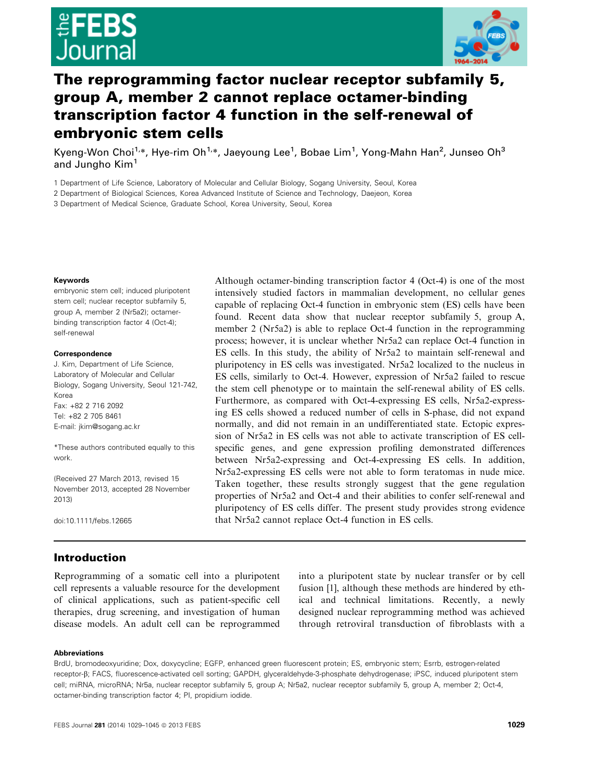

# The reprogramming factor nuclear receptor subfamily 5, group A, member 2 cannot replace octamer-binding transcription factor 4 function in the self-renewal of embryonic stem cells

Kyeng-Won Choi<sup>1,</sup>\*, Hye-rim Oh<sup>1,</sup>\*, Jaeyoung Lee<sup>1</sup>, Bobae Lim<sup>1</sup>, Yong-Mahn Han<sup>2</sup>, Junseo Oh<sup>3</sup> and Jungho Kim<sup>1</sup>

1 Department of Life Science, Laboratory of Molecular and Cellular Biology, Sogang University, Seoul, Korea

2 Department of Biological Sciences, Korea Advanced Institute of Science and Technology, Daejeon, Korea

3 Department of Medical Science, Graduate School, Korea University, Seoul, Korea

#### Keywords

embryonic stem cell; induced pluripotent stem cell; nuclear receptor subfamily 5, group A, member 2 (Nr5a2); octamerbinding transcription factor 4 (Oct-4); self-renewal

#### Correspondence

J. Kim, Department of Life Science, Laboratory of Molecular and Cellular Biology, Sogang University, Seoul 121-742, Korea Fax: +82 2 716 2092 Tel: +82 2 705 8461 E-mail: jkim@sogang.ac.kr

\*These authors contributed equally to this work.

(Received 27 March 2013, revised 15 November 2013, accepted 28 November 2013)

doi:10.1111/febs.12665

Although octamer-binding transcription factor 4 (Oct-4) is one of the most intensively studied factors in mammalian development, no cellular genes capable of replacing Oct-4 function in embryonic stem (ES) cells have been found. Recent data show that nuclear receptor subfamily 5, group A, member 2 (Nr5a2) is able to replace Oct-4 function in the reprogramming process; however, it is unclear whether Nr5a2 can replace Oct-4 function in ES cells. In this study, the ability of Nr5a2 to maintain self-renewal and pluripotency in ES cells was investigated. Nr5a2 localized to the nucleus in ES cells, similarly to Oct-4. However, expression of Nr5a2 failed to rescue the stem cell phenotype or to maintain the self-renewal ability of ES cells. Furthermore, as compared with Oct-4-expressing ES cells, Nr5a2-expressing ES cells showed a reduced number of cells in S-phase, did not expand normally, and did not remain in an undifferentiated state. Ectopic expression of Nr5a2 in ES cells was not able to activate transcription of ES cellspecific genes, and gene expression profiling demonstrated differences between Nr5a2-expressing and Oct-4-expressing ES cells. In addition, Nr5a2-expressing ES cells were not able to form teratomas in nude mice. Taken together, these results strongly suggest that the gene regulation properties of Nr5a2 and Oct-4 and their abilities to confer self-renewal and pluripotency of ES cells differ. The present study provides strong evidence that Nr5a2 cannot replace Oct-4 function in ES cells.

# Introduction

Reprogramming of a somatic cell into a pluripotent cell represents a valuable resource for the development of clinical applications, such as patient-specific cell therapies, drug screening, and investigation of human disease models. An adult cell can be reprogrammed into a pluripotent state by nuclear transfer or by cell fusion [1], although these methods are hindered by ethical and technical limitations. Recently, a newly designed nuclear reprogramming method was achieved through retroviral transduction of fibroblasts with a

#### Abbreviations

BrdU, bromodeoxyuridine; Dox, doxycycline; EGFP, enhanced green fluorescent protein; ES, embryonic stem; Esrrb, estrogen-related receptor- $\beta$ ; FACS, fluorescence-activated cell sorting; GAPDH, glyceraldehyde-3-phosphate dehydrogenase; iPSC, induced pluripotent stem cell; miRNA, microRNA; Nr5a, nuclear receptor subfamily 5, group A; Nr5a2, nuclear receptor subfamily 5, group A, member 2; Oct-4, octamer-binding transcription factor 4; PI, propidium iodide.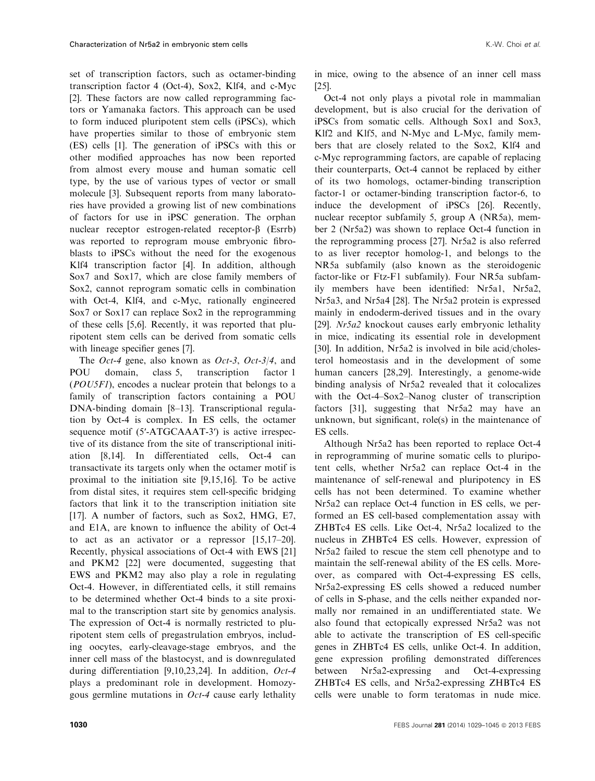set of transcription factors, such as octamer-binding transcription factor 4 (Oct-4), Sox2, Klf4, and c-Myc [2]. These factors are now called reprogramming factors or Yamanaka factors. This approach can be used to form induced pluripotent stem cells (iPSCs), which have properties similar to those of embryonic stem (ES) cells [1]. The generation of iPSCs with this or other modified approaches has now been reported from almost every mouse and human somatic cell type, by the use of various types of vector or small molecule [3]. Subsequent reports from many laboratories have provided a growing list of new combinations of factors for use in iPSC generation. The orphan nuclear receptor estrogen-related receptor-β (Esrrb) was reported to reprogram mouse embryonic fibroblasts to iPSCs without the need for the exogenous Klf4 transcription factor [4]. In addition, although Sox7 and Sox17, which are close family members of Sox2, cannot reprogram somatic cells in combination with Oct-4, Klf4, and c-Myc, rationally engineered Sox7 or Sox17 can replace Sox2 in the reprogramming of these cells [5,6]. Recently, it was reported that pluripotent stem cells can be derived from somatic cells with lineage specifier genes [7].

The *Oct-4* gene, also known as *Oct-3*, *Oct-3/4*, and POU domain, class 5, transcription factor 1 (POU5F1), encodes a nuclear protein that belongs to a family of transcription factors containing a POU DNA-binding domain [8–13]. Transcriptional regulation by Oct-4 is complex. In ES cells, the octamer sequence motif (5'-ATGCAAAT-3') is active irrespective of its distance from the site of transcriptional initiation [8,14]. In differentiated cells, Oct-4 can transactivate its targets only when the octamer motif is proximal to the initiation site [9,15,16]. To be active from distal sites, it requires stem cell-specific bridging factors that link it to the transcription initiation site [17]. A number of factors, such as Sox2, HMG, E7, and E1A, are known to influence the ability of Oct-4 to act as an activator or a repressor [15,17–20]. Recently, physical associations of Oct-4 with EWS [21] and PKM2 [22] were documented, suggesting that EWS and PKM2 may also play a role in regulating Oct-4. However, in differentiated cells, it still remains to be determined whether Oct-4 binds to a site proximal to the transcription start site by genomics analysis. The expression of Oct-4 is normally restricted to pluripotent stem cells of pregastrulation embryos, including oocytes, early-cleavage-stage embryos, and the inner cell mass of the blastocyst, and is downregulated during differentiation [9,10,23,24]. In addition, Oct-4 plays a predominant role in development. Homozygous germline mutations in  $Oct-4$  cause early lethality

in mice, owing to the absence of an inner cell mass [25].

Oct-4 not only plays a pivotal role in mammalian development, but is also crucial for the derivation of iPSCs from somatic cells. Although Sox1 and Sox3, Klf2 and Klf5, and N-Myc and L-Myc, family members that are closely related to the Sox2, Klf4 and c-Myc reprogramming factors, are capable of replacing their counterparts, Oct-4 cannot be replaced by either of its two homologs, octamer-binding transcription factor-1 or octamer-binding transcription factor-6, to induce the development of iPSCs [26]. Recently, nuclear receptor subfamily 5, group A (NR5a), member 2 (Nr5a2) was shown to replace Oct-4 function in the reprogramming process [27]. Nr5a2 is also referred to as liver receptor homolog-1, and belongs to the NR5a subfamily (also known as the steroidogenic factor-like or Ftz-F1 subfamily). Four NR5a subfamily members have been identified: Nr5a1, Nr5a2, Nr5a3, and Nr5a4 [28]. The Nr5a2 protein is expressed mainly in endoderm-derived tissues and in the ovary [29]. Nr5a2 knockout causes early embryonic lethality in mice, indicating its essential role in development [30]. In addition, Nr5a2 is involved in bile acid/cholesterol homeostasis and in the development of some human cancers [28,29]. Interestingly, a genome-wide binding analysis of Nr5a2 revealed that it colocalizes with the Oct-4–Sox2–Nanog cluster of transcription factors [31], suggesting that Nr5a2 may have an unknown, but significant, role(s) in the maintenance of ES cells.

Although Nr5a2 has been reported to replace Oct-4 in reprogramming of murine somatic cells to pluripotent cells, whether Nr5a2 can replace Oct-4 in the maintenance of self-renewal and pluripotency in ES cells has not been determined. To examine whether Nr5a2 can replace Oct-4 function in ES cells, we performed an ES cell-based complementation assay with ZHBTc4 ES cells. Like Oct-4, Nr5a2 localized to the nucleus in ZHBTc4 ES cells. However, expression of Nr5a2 failed to rescue the stem cell phenotype and to maintain the self-renewal ability of the ES cells. Moreover, as compared with Oct-4-expressing ES cells, Nr5a2-expressing ES cells showed a reduced number of cells in S-phase, and the cells neither expanded normally nor remained in an undifferentiated state. We also found that ectopically expressed Nr5a2 was not able to activate the transcription of ES cell-specific genes in ZHBTc4 ES cells, unlike Oct-4. In addition, gene expression profiling demonstrated differences between Nr5a2-expressing and Oct-4-expressing ZHBTc4 ES cells, and Nr5a2-expressing ZHBTc4 ES cells were unable to form teratomas in nude mice.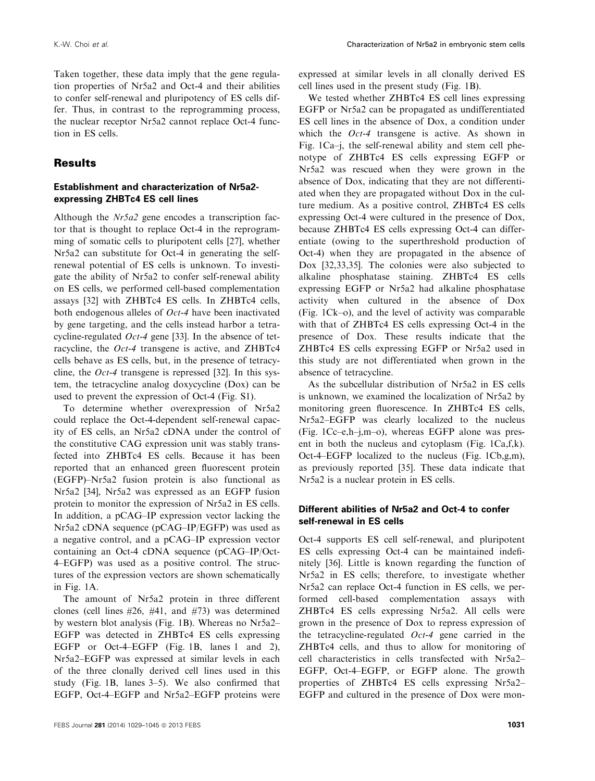Taken together, these data imply that the gene regulation properties of Nr5a2 and Oct-4 and their abilities to confer self-renewal and pluripotency of ES cells differ. Thus, in contrast to the reprogramming process, the nuclear receptor Nr5a2 cannot replace Oct-4 function in ES cells.

## Results

### Establishment and characterization of Nr5a2 expressing ZHBTc4 ES cell lines

Although the *Nr5a2* gene encodes a transcription factor that is thought to replace Oct-4 in the reprogramming of somatic cells to pluripotent cells [27], whether Nr5a2 can substitute for Oct-4 in generating the selfrenewal potential of ES cells is unknown. To investigate the ability of Nr5a2 to confer self-renewal ability on ES cells, we performed cell-based complementation assays [32] with ZHBTc4 ES cells. In ZHBTc4 cells, both endogenous alleles of Oct-4 have been inactivated by gene targeting, and the cells instead harbor a tetracycline-regulated  $Oct-4$  gene [33]. In the absence of tetracycline, the Oct-4 transgene is active, and ZHBTc4 cells behave as ES cells, but, in the presence of tetracycline, the  $Oct-4$  transgene is repressed [32]. In this system, the tetracycline analog doxycycline (Dox) can be used to prevent the expression of Oct-4 (Fig. S1).

To determine whether overexpression of Nr5a2 could replace the Oct-4-dependent self-renewal capacity of ES cells, an Nr5a2 cDNA under the control of the constitutive CAG expression unit was stably transfected into ZHBTc4 ES cells. Because it has been reported that an enhanced green fluorescent protein (EGFP)–Nr5a2 fusion protein is also functional as Nr5a2 [34], Nr5a2 was expressed as an EGFP fusion protein to monitor the expression of Nr5a2 in ES cells. In addition, a pCAG–IP expression vector lacking the Nr5a2 cDNA sequence (pCAG–IP/EGFP) was used as a negative control, and a pCAG–IP expression vector containing an Oct-4 cDNA sequence (pCAG–IP/Oct-4–EGFP) was used as a positive control. The structures of the expression vectors are shown schematically in Fig. 1A.

The amount of Nr5a2 protein in three different clones (cell lines #26, #41, and #73) was determined by western blot analysis (Fig. 1B). Whereas no Nr5a2– EGFP was detected in ZHBTc4 ES cells expressing EGFP or Oct-4–EGFP (Fig. 1B, lanes 1 and 2), Nr5a2–EGFP was expressed at similar levels in each of the three clonally derived cell lines used in this study (Fig. 1B, lanes 3–5). We also confirmed that EGFP, Oct-4–EGFP and Nr5a2–EGFP proteins were

expressed at similar levels in all clonally derived ES cell lines used in the present study (Fig. 1B).

We tested whether ZHBTc4 ES cell lines expressing EGFP or Nr5a2 can be propagated as undifferentiated ES cell lines in the absence of Dox, a condition under which the Oct-4 transgene is active. As shown in Fig. 1Ca–j, the self-renewal ability and stem cell phenotype of ZHBTc4 ES cells expressing EGFP or Nr5a2 was rescued when they were grown in the absence of Dox, indicating that they are not differentiated when they are propagated without Dox in the culture medium. As a positive control, ZHBTc4 ES cells expressing Oct-4 were cultured in the presence of Dox, because ZHBTc4 ES cells expressing Oct-4 can differentiate (owing to the superthreshold production of Oct-4) when they are propagated in the absence of Dox [32,33,35]. The colonies were also subjected to alkaline phosphatase staining. ZHBTc4 ES cells expressing EGFP or Nr5a2 had alkaline phosphatase activity when cultured in the absence of Dox (Fig. 1Ck–o), and the level of activity was comparable with that of ZHBTc4 ES cells expressing Oct-4 in the presence of Dox. These results indicate that the ZHBTc4 ES cells expressing EGFP or Nr5a2 used in this study are not differentiated when grown in the absence of tetracycline.

As the subcellular distribution of Nr5a2 in ES cells is unknown, we examined the localization of Nr5a2 by monitoring green fluorescence. In ZHBTc4 ES cells, Nr5a2–EGFP was clearly localized to the nucleus (Fig. 1Cc–e,h–j,m–o), whereas EGFP alone was present in both the nucleus and cytoplasm (Fig. 1Ca,f,k). Oct-4–EGFP localized to the nucleus (Fig. 1Cb,g,m), as previously reported [35]. These data indicate that Nr5a2 is a nuclear protein in ES cells.

### Different abilities of Nr5a2 and Oct-4 to confer self-renewal in ES cells

Oct-4 supports ES cell self-renewal, and pluripotent ES cells expressing Oct-4 can be maintained indefinitely [36]. Little is known regarding the function of Nr5a2 in ES cells; therefore, to investigate whether Nr5a2 can replace Oct-4 function in ES cells, we performed cell-based complementation assays with ZHBTc4 ES cells expressing Nr5a2. All cells were grown in the presence of Dox to repress expression of the tetracycline-regulated  $Oct-4$  gene carried in the ZHBTc4 cells, and thus to allow for monitoring of cell characteristics in cells transfected with Nr5a2– EGFP, Oct-4–EGFP, or EGFP alone. The growth properties of ZHBTc4 ES cells expressing Nr5a2– EGFP and cultured in the presence of Dox were mon-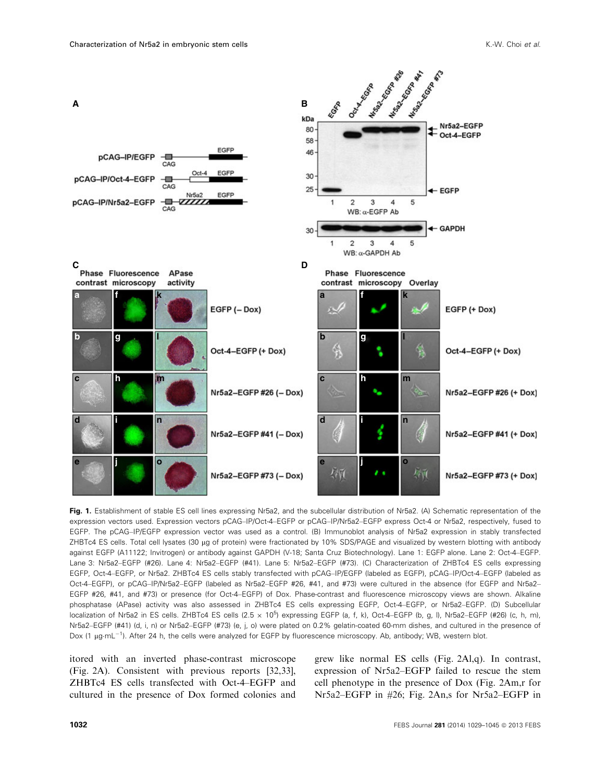

Fig. 1. Establishment of stable ES cell lines expressing Nr5a2, and the subcellular distribution of Nr5a2. (A) Schematic representation of the expression vectors used. Expression vectors pCAG–IP/Oct-4–EGFP or pCAG–IP/Nr5a2–EGFP express Oct-4 or Nr5a2, respectively, fused to EGFP. The pCAG–IP/EGFP expression vector was used as a control. (B) Immunoblot analysis of Nr5a2 expression in stably transfected ZHBTc4 ES cells. Total cell lysates (30 µg of protein) were fractionated by 10% SDS/PAGE and visualized by western blotting with antibody against EGFP (A11122; Invitrogen) or antibody against GAPDH (V-18; Santa Cruz Biotechnology). Lane 1: EGFP alone. Lane 2: Oct-4–EGFP. Lane 3: Nr5a2–EGFP (#26). Lane 4: Nr5a2–EGFP (#41). Lane 5: Nr5a2–EGFP (#73). (C) Characterization of ZHBTc4 ES cells expressing EGFP, Oct-4–EGFP, or Nr5a2. ZHBTc4 ES cells stably transfected with pCAG–IP/EGFP (labeled as EGFP), pCAG–IP/Oct-4–EGFP (labeled as Oct-4–EGFP), or pCAG–IP/Nr5a2–EGFP (labeled as Nr5a2–EGFP #26, #41, and #73) were cultured in the absence (for EGFP and Nr5a2– EGFP #26, #41, and #73) or presence (for Oct-4–EGFP) of Dox. Phase-contrast and fluorescence microscopy views are shown. Alkaline phosphatase (APase) activity was also assessed in ZHBTc4 ES cells expressing EGFP, Oct-4–EGFP, or Nr5a2–EGFP. (D) Subcellular localization of Nr5a2 in ES cells. ZHBTc4 ES cells (2.5 x 10<sup>5</sup>) expressing EGFP (a, f, k), Oct-4-EGFP (b, g, l), Nr5a2-EGFP (#26) (c, h, m), Nr5a2–EGFP (#41) (d, i, n) or Nr5a2–EGFP (#73) (e, j, o) were plated on 0.2% gelatin-coated 60-mm dishes, and cultured in the presence of Dox (1  $\mu$ g·mL<sup>-1</sup>). After 24 h, the cells were analyzed for EGFP by fluorescence microscopy. Ab, antibody; WB, western blot.

itored with an inverted phase-contrast microscope (Fig. 2A). Consistent with previous reports [32,33], ZHBTc4 ES cells transfected with Oct-4–EGFP and cultured in the presence of Dox formed colonies and

grew like normal ES cells (Fig. 2Al,q). In contrast, expression of Nr5a2–EGFP failed to rescue the stem cell phenotype in the presence of Dox (Fig. 2Am,r for Nr5a2–EGFP in #26; Fig. 2An,s for Nr5a2–EGFP in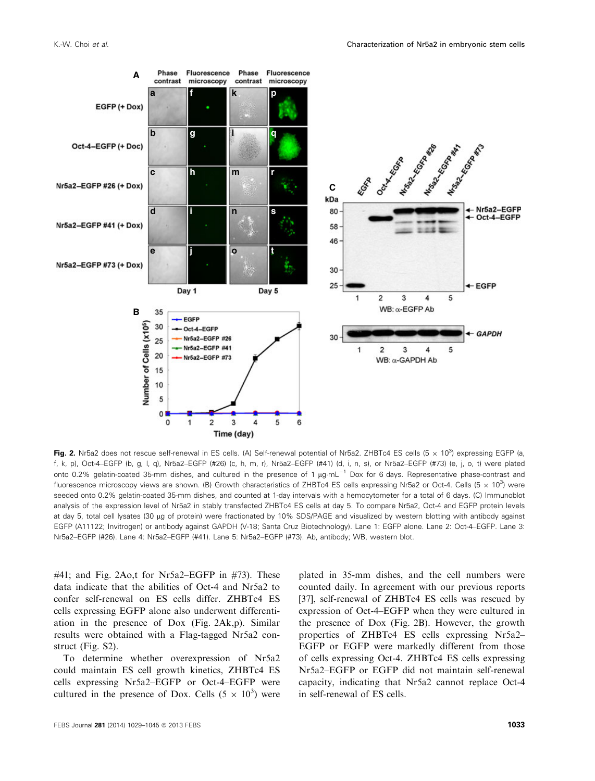

Fig. 2. Nr5a2 does not rescue self-renewal in ES cells. (A) Self-renewal potential of Nr5a2. ZHBTc4 ES cells (5  $\times$  10<sup>3</sup>) expressing EGFP (a, f, k, p), Oct-4–EGFP (b, g, l, q), Nr5a2–EGFP (#26) (c, h, m, r), Nr5a2–EGFP (#41) (d, i, n, s), or Nr5a2–EGFP (#73) (e, j, o, t) were plated onto 0.2% gelatin-coated 35-mm dishes, and cultured in the presence of 1  $\mu$ g·mL<sup>-1</sup> Dox for 6 days. Representative phase-contrast and fluorescence microscopy views are shown. (B) Growth characteristics of ZHBTc4 ES cells expressing Nr5a2 or Oct-4. Cells (5  $\times$  10<sup>3</sup>) were seeded onto 0.2% gelatin-coated 35-mm dishes, and counted at 1-day intervals with a hemocytometer for a total of 6 days. (C) Immunoblot analysis of the expression level of Nr5a2 in stably transfected ZHBTc4 ES cells at day 5. To compare Nr5a2, Oct-4 and EGFP protein levels at day 5, total cell lysates (30 µg of protein) were fractionated by 10% SDS/PAGE and visualized by western blotting with antibody against EGFP (A11122; Invitrogen) or antibody against GAPDH (V-18; Santa Cruz Biotechnology). Lane 1: EGFP alone. Lane 2: Oct-4–EGFP. Lane 3: Nr5a2–EGFP (#26). Lane 4: Nr5a2–EGFP (#41). Lane 5: Nr5a2–EGFP (#73). Ab, antibody; WB, western blot.

#41; and Fig. 2Ao,t for Nr5a2–EGFP in #73). These data indicate that the abilities of Oct-4 and Nr5a2 to confer self-renewal on ES cells differ. ZHBTc4 ES cells expressing EGFP alone also underwent differentiation in the presence of Dox (Fig. 2Ak,p). Similar results were obtained with a Flag-tagged Nr5a2 construct (Fig. S2).

To determine whether overexpression of Nr5a2 could maintain ES cell growth kinetics, ZHBTc4 ES cells expressing Nr5a2–EGFP or Oct-4–EGFP were cultured in the presence of Dox. Cells  $(5 \times 10^3)$  were

plated in 35-mm dishes, and the cell numbers were counted daily. In agreement with our previous reports [37], self-renewal of ZHBTc4 ES cells was rescued by expression of Oct-4–EGFP when they were cultured in the presence of Dox (Fig. 2B). However, the growth properties of ZHBTc4 ES cells expressing Nr5a2– EGFP or EGFP were markedly different from those of cells expressing Oct-4. ZHBTc4 ES cells expressing Nr5a2–EGFP or EGFP did not maintain self-renewal capacity, indicating that Nr5a2 cannot replace Oct-4 in self-renewal of ES cells.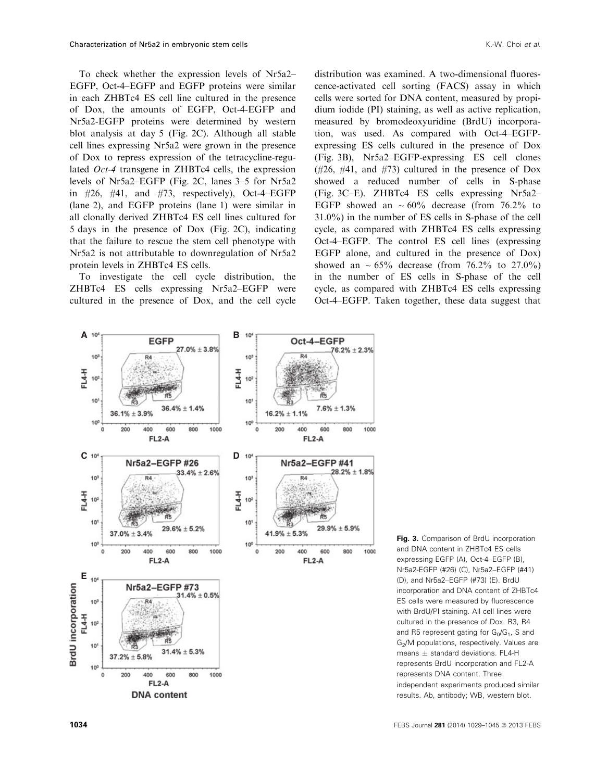To check whether the expression levels of Nr5a2– EGFP, Oct-4–EGFP and EGFP proteins were similar in each ZHBTc4 ES cell line cultured in the presence of Dox, the amounts of EGFP, Oct-4-EGFP and Nr5a2-EGFP proteins were determined by western blot analysis at day 5 (Fig. 2C). Although all stable cell lines expressing Nr5a2 were grown in the presence of Dox to repress expression of the tetracycline-regulated Oct-4 transgene in ZHBTc4 cells, the expression levels of Nr5a2–EGFP (Fig. 2C, lanes 3–5 for Nr5a2 in  $#26$ ,  $#41$ , and  $#73$ , respectively), Oct-4–EGFP (lane 2), and EGFP proteins (lane 1) were similar in all clonally derived ZHBTc4 ES cell lines cultured for 5 days in the presence of Dox (Fig. 2C), indicating that the failure to rescue the stem cell phenotype with Nr5a2 is not attributable to downregulation of Nr5a2 protein levels in ZHBTc4 ES cells.

To investigate the cell cycle distribution, the ZHBTc4 ES cells expressing Nr5a2–EGFP were cultured in the presence of Dox, and the cell cycle

distribution was examined. A two-dimensional fluorescence-activated cell sorting (FACS) assay in which cells were sorted for DNA content, measured by propidium iodide (PI) staining, as well as active replication, measured by bromodeoxyuridine (BrdU) incorporation, was used. As compared with Oct-4–EGFPexpressing ES cells cultured in the presence of Dox (Fig. 3B), Nr5a2–EGFP-expressing ES cell clones (#26, #41, and #73) cultured in the presence of Dox showed a reduced number of cells in S-phase (Fig. 3C–E). ZHBTc4 ES cells expressing Nr5a2– EGFP showed an  $\sim 60\%$  decrease (from 76.2% to 31.0%) in the number of ES cells in S-phase of the cell cycle, as compared with ZHBTc4 ES cells expressing Oct-4–EGFP. The control ES cell lines (expressing EGFP alone, and cultured in the presence of Dox) showed an  $\sim 65\%$  decrease (from 76.2% to 27.0%) in the number of ES cells in S-phase of the cell cycle, as compared with ZHBTc4 ES cells expressing Oct-4–EGFP. Taken together, these data suggest that



Fig. 3. Comparison of BrdU incorporation and DNA content in ZHBTc4 ES cells expressing EGFP (A), Oct-4–EGFP (B), Nr5a2-EGFP (#26) (C), Nr5a2–EGFP (#41) (D), and Nr5a2–EGFP (#73) (E). BrdU incorporation and DNA content of ZHBTc4 ES cells were measured by fluorescence with BrdU/PI staining. All cell lines were cultured in the presence of Dox. R3, R4 and R5 represent gating for  $G_0/G_1$ , S and G<sub>2</sub>/M populations, respectively. Values are means  $\pm$  standard deviations. FL4-H represents BrdU incorporation and FL2-A represents DNA content. Three independent experiments produced similar results. Ab, antibody; WB, western blot.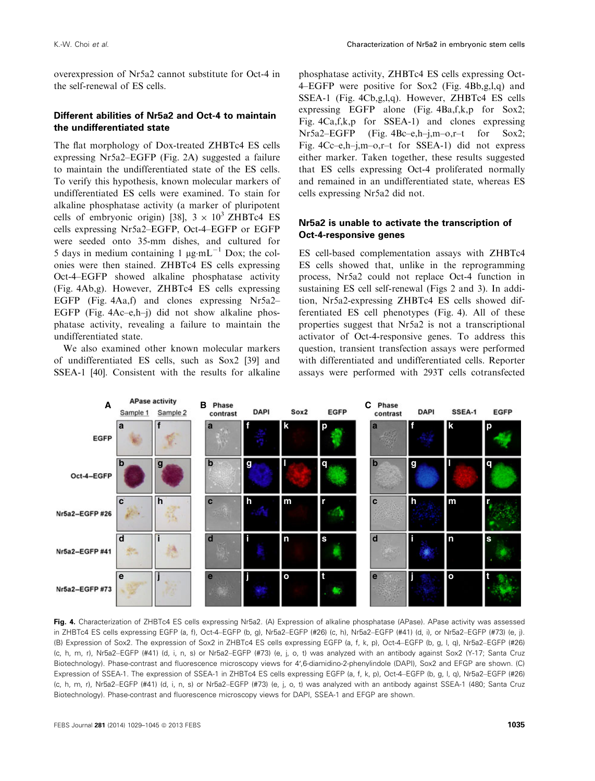overexpression of Nr5a2 cannot substitute for Oct-4 in the self-renewal of ES cells.

### Different abilities of Nr5a2 and Oct-4 to maintain the undifferentiated state

The flat morphology of Dox-treated ZHBTc4 ES cells expressing Nr5a2–EGFP (Fig. 2A) suggested a failure to maintain the undifferentiated state of the ES cells. To verify this hypothesis, known molecular markers of undifferentiated ES cells were examined. To stain for alkaline phosphatase activity (a marker of pluripotent cells of embryonic origin) [38],  $3 \times 10^3$  ZHBTc4 ES cells expressing Nr5a2–EGFP, Oct-4–EGFP or EGFP were seeded onto 35-mm dishes, and cultured for 5 days in medium containing 1  $\mu$ g·mL<sup>-1</sup> Dox; the colonies were then stained. ZHBTc4 ES cells expressing Oct-4–EGFP showed alkaline phosphatase activity (Fig. 4Ab,g). However, ZHBTc4 ES cells expressing EGFP (Fig. 4Aa,f) and clones expressing Nr5a2– EGFP (Fig. 4Ac–e,h–j) did not show alkaline phosphatase activity, revealing a failure to maintain the undifferentiated state.

We also examined other known molecular markers of undifferentiated ES cells, such as Sox2 [39] and SSEA-1 [40]. Consistent with the results for alkaline phosphatase activity, ZHBTc4 ES cells expressing Oct-4–EGFP were positive for Sox2 (Fig. 4Bb,g,l,q) and SSEA-1 (Fig. 4Cb,g,l,q). However, ZHBTc4 ES cells expressing EGFP alone (Fig. 4Ba,f,k,p for Sox2; Fig. 4Ca,f,k,p for SSEA-1) and clones expressing Nr5a2–EGFP (Fig. 4Bc–e,h–j,m–o,r–t for Sox2; Fig. 4Cc–e,h–j,m–o,r–t for SSEA-1) did not express either marker. Taken together, these results suggested that ES cells expressing Oct-4 proliferated normally and remained in an undifferentiated state, whereas ES cells expressing Nr5a2 did not.

### Nr5a2 is unable to activate the transcription of Oct-4-responsive genes

ES cell-based complementation assays with ZHBTc4 ES cells showed that, unlike in the reprogramming process, Nr5a2 could not replace Oct-4 function in sustaining ES cell self-renewal (Figs 2 and 3). In addition, Nr5a2-expressing ZHBTc4 ES cells showed differentiated ES cell phenotypes (Fig. 4). All of these properties suggest that Nr5a2 is not a transcriptional activator of Oct-4-responsive genes. To address this question, transient transfection assays were performed with differentiated and undifferentiated cells. Reporter assays were performed with 293T cells cotransfected



Fig. 4. Characterization of ZHBTc4 ES cells expressing Nr5a2. (A) Expression of alkaline phosphatase (APase). APase activity was assessed in ZHBTc4 ES cells expressing EGFP (a, f), Oct-4–EGFP (b, g), Nr5a2–EGFP (#26) (c, h), Nr5a2–EGFP (#41) (d, i), or Nr5a2–EGFP (#73) (e, j). (B) Expression of Sox2. The expression of Sox2 in ZHBTc4 ES cells expressing EGFP (a, f, k, p), Oct-4–EGFP (b, g, l, q), Nr5a2–EGFP (#26) (c, h, m, r), Nr5a2–EGFP (#41) (d, i, n, s) or Nr5a2–EGFP (#73) (e, j, o, t) was analyzed with an antibody against Sox2 (Y-17; Santa Cruz Biotechnology). Phase-contrast and fluorescence microscopy views for 4′,6-diamidino-2-phenylindole (DAPI), Sox2 and EFGP are shown. (C) Expression of SSEA-1. The expression of SSEA-1 in ZHBTc4 ES cells expressing EGFP (a, f, k, p), Oct-4–EGFP (b, g, l, q), Nr5a2–EGFP (#26) (c, h, m, r), Nr5a2–EGFP (#41) (d, i, n, s) or Nr5a2–EGFP (#73) (e, j, o, t) was analyzed with an antibody against SSEA-1 (480; Santa Cruz Biotechnology). Phase-contrast and fluorescence microscopy views for DAPI, SSEA-1 and EFGP are shown.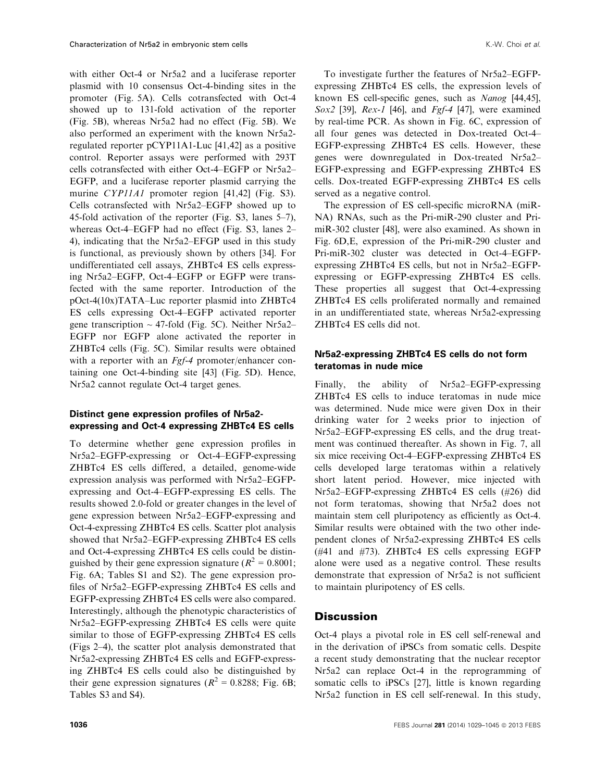with either Oct-4 or Nr5a2 and a luciferase reporter plasmid with 10 consensus Oct-4-binding sites in the promoter (Fig. 5A). Cells cotransfected with Oct-4 showed up to 131-fold activation of the reporter (Fig. 5B), whereas Nr5a2 had no effect (Fig. 5B). We also performed an experiment with the known Nr5a2 regulated reporter pCYP11A1-Luc [41,42] as a positive control. Reporter assays were performed with 293T cells cotransfected with either Oct-4–EGFP or Nr5a2– EGFP, and a luciferase reporter plasmid carrying the murine CYP11A1 promoter region [41,42] (Fig. S3). Cells cotransfected with Nr5a2–EGFP showed up to 45-fold activation of the reporter (Fig. S3, lanes 5–7), whereas Oct-4–EGFP had no effect (Fig. S3, lanes 2– 4), indicating that the Nr5a2–EFGP used in this study is functional, as previously shown by others [34]. For undifferentiated cell assays, ZHBTc4 ES cells expressing Nr5a2–EGFP, Oct-4–EGFP or EGFP were transfected with the same reporter. Introduction of the pOct-4(10x)TATA–Luc reporter plasmid into ZHBTc4 ES cells expressing Oct-4–EGFP activated reporter gene transcription  $\sim$  47-fold (Fig. 5C). Neither Nr5a2– EGFP nor EGFP alone activated the reporter in ZHBTc4 cells (Fig. 5C). Similar results were obtained with a reporter with an *Fgf-4* promoter/enhancer containing one Oct-4-binding site [43] (Fig. 5D). Hence, Nr5a2 cannot regulate Oct-4 target genes.

#### Distinct gene expression profiles of Nr5a2 expressing and Oct-4 expressing ZHBTc4 ES cells

To determine whether gene expression profiles in Nr5a2–EGFP-expressing or Oct-4–EGFP-expressing ZHBTc4 ES cells differed, a detailed, genome-wide expression analysis was performed with Nr5a2–EGFPexpressing and Oct-4–EGFP-expressing ES cells. The results showed 2.0-fold or greater changes in the level of gene expression between Nr5a2–EGFP-expressing and Oct-4-expressing ZHBTc4 ES cells. Scatter plot analysis showed that Nr5a2–EGFP-expressing ZHBTc4 ES cells and Oct-4-expressing ZHBTc4 ES cells could be distinguished by their gene expression signature ( $R^2 = 0.8001$ ; Fig. 6A; Tables S1 and S2). The gene expression profiles of Nr5a2–EGFP-expressing ZHBTc4 ES cells and EGFP-expressing ZHBTc4 ES cells were also compared. Interestingly, although the phenotypic characteristics of Nr5a2–EGFP-expressing ZHBTc4 ES cells were quite similar to those of EGFP-expressing ZHBTc4 ES cells (Figs 2–4), the scatter plot analysis demonstrated that Nr5a2-expressing ZHBTc4 ES cells and EGFP-expressing ZHBTc4 ES cells could also be distinguished by their gene expression signatures ( $R^2 = 0.8288$ ; Fig. 6B; Tables S3 and S4).

To investigate further the features of Nr5a2–EGFPexpressing ZHBTc4 ES cells, the expression levels of known ES cell-specific genes, such as Nanog [44,45], Sox2 [39], Rex-1 [46], and Fgf-4 [47], were examined by real-time PCR. As shown in Fig. 6C, expression of all four genes was detected in Dox-treated Oct-4– EGFP-expressing ZHBTc4 ES cells. However, these genes were downregulated in Dox-treated Nr5a2– EGFP-expressing and EGFP-expressing ZHBTc4 ES cells. Dox-treated EGFP-expressing ZHBTc4 ES cells served as a negative control.

The expression of ES cell-specific microRNA (miR-NA) RNAs, such as the Pri-miR-290 cluster and PrimiR-302 cluster [48], were also examined. As shown in Fig. 6D,E, expression of the Pri-miR-290 cluster and Pri-miR-302 cluster was detected in Oct-4–EGFPexpressing ZHBTc4 ES cells, but not in Nr5a2–EGFPexpressing or EGFP-expressing ZHBTc4 ES cells. These properties all suggest that Oct-4-expressing ZHBTc4 ES cells proliferated normally and remained in an undifferentiated state, whereas Nr5a2-expressing ZHBTc4 ES cells did not.

### Nr5a2-expressing ZHBTc4 ES cells do not form teratomas in nude mice

Finally, the ability of Nr5a2–EGFP-expressing ZHBTc4 ES cells to induce teratomas in nude mice was determined. Nude mice were given Dox in their drinking water for 2 weeks prior to injection of Nr5a2–EGFP-expressing ES cells, and the drug treatment was continued thereafter. As shown in Fig. 7, all six mice receiving Oct-4–EGFP-expressing ZHBTc4 ES cells developed large teratomas within a relatively short latent period. However, mice injected with Nr5a2–EGFP-expressing ZHBTc4 ES cells (#26) did not form teratomas, showing that Nr5a2 does not maintain stem cell pluripotency as efficiently as Oct-4. Similar results were obtained with the two other independent clones of Nr5a2-expressing ZHBTc4 ES cells (#41 and #73). ZHBTc4 ES cells expressing EGFP alone were used as a negative control. These results demonstrate that expression of Nr5a2 is not sufficient to maintain pluripotency of ES cells.

# **Discussion**

Oct-4 plays a pivotal role in ES cell self-renewal and in the derivation of iPSCs from somatic cells. Despite a recent study demonstrating that the nuclear receptor Nr5a2 can replace Oct-4 in the reprogramming of somatic cells to iPSCs [27], little is known regarding Nr5a2 function in ES cell self-renewal. In this study,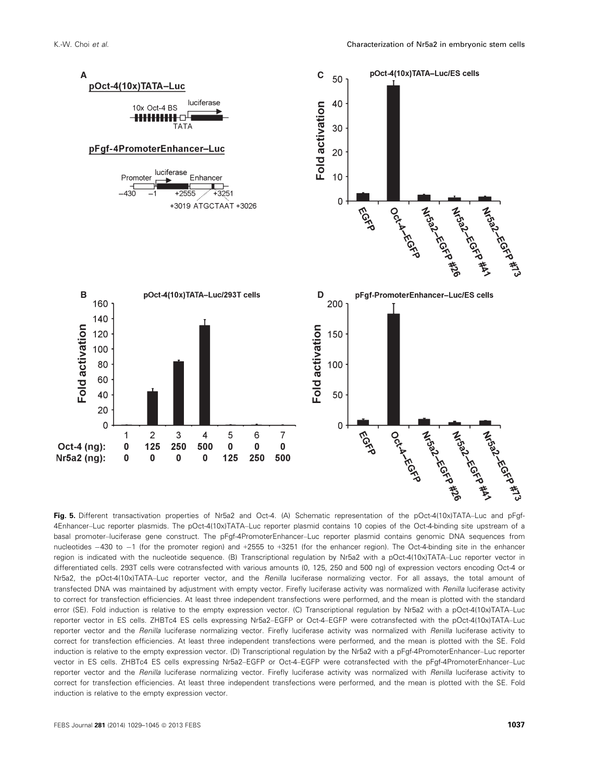

Fig. 5. Different transactivation properties of Nr5a2 and Oct-4. (A) Schematic representation of the pOct-4(10x)TATA–Luc and pFgf-4Enhancer–Luc reporter plasmids. The pOct-4(10x)TATA–Luc reporter plasmid contains 10 copies of the Oct-4-binding site upstream of a basal promoter–luciferase gene construct. The pFgf-4PromoterEnhancer–Luc reporter plasmid contains genomic DNA sequences from nucleotides  $-430$  to  $-1$  (for the promoter region) and  $+2555$  to  $+3251$  (for the enhancer region). The Oct-4-binding site in the enhancer region is indicated with the nucleotide sequence. (B) Transcriptional regulation by Nr5a2 with a pOct-4(10x)TATA–Luc reporter vector in differentiated cells. 293T cells were cotransfected with various amounts (0, 125, 250 and 500 ng) of expression vectors encoding Oct-4 or Nr5a2, the pOct-4(10x)TATA–Luc reporter vector, and the Renilla luciferase normalizing vector. For all assays, the total amount of transfected DNA was maintained by adjustment with empty vector. Firefly luciferase activity was normalized with Renilla luciferase activity to correct for transfection efficiencies. At least three independent transfections were performed, and the mean is plotted with the standard error (SE). Fold induction is relative to the empty expression vector. (C) Transcriptional regulation by Nr5a2 with a pOct-4(10x)TATA–Luc reporter vector in ES cells. ZHBTc4 ES cells expressing Nr5a2–EGFP or Oct-4–EGFP were cotransfected with the pOct-4(10x)TATA–Luc reporter vector and the Renilla luciferase normalizing vector. Firefly luciferase activity was normalized with Renilla luciferase activity to correct for transfection efficiencies. At least three independent transfections were performed, and the mean is plotted with the SE. Fold induction is relative to the empty expression vector. (D) Transcriptional regulation by the Nr5a2 with a pFgf-4PromoterEnhancer–Luc reporter vector in ES cells. ZHBTc4 ES cells expressing Nr5a2–EGFP or Oct-4–EGFP were cotransfected with the pFgf-4PromoterEnhancer–Luc reporter vector and the Renilla luciferase normalizing vector. Firefly luciferase activity was normalized with Renilla luciferase activity to correct for transfection efficiencies. At least three independent transfections were performed, and the mean is plotted with the SE. Fold induction is relative to the empty expression vector.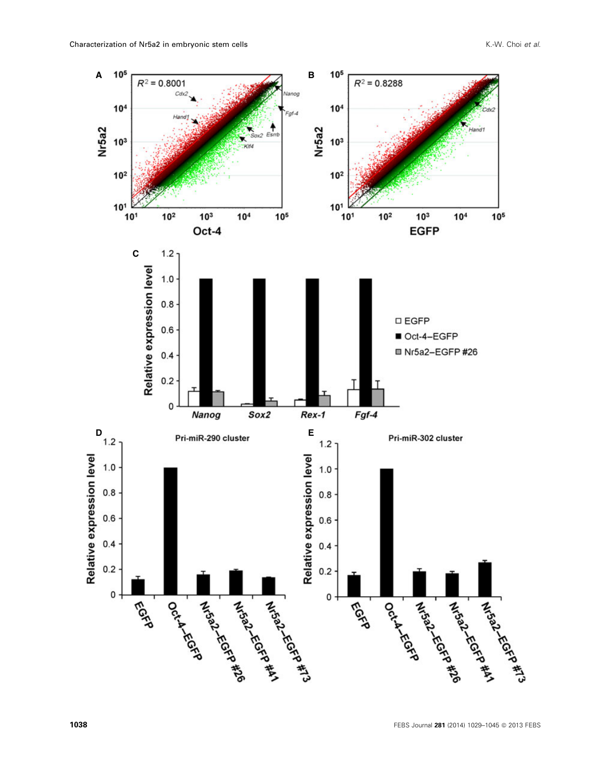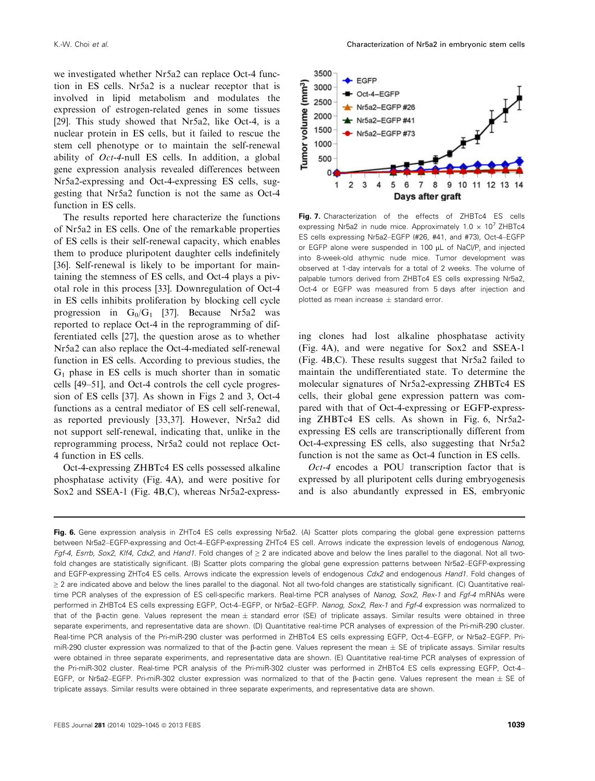we investigated whether Nr5a2 can replace Oct-4 function in ES cells. Nr5a2 is a nuclear receptor that is involved in lipid metabolism and modulates the expression of estrogen-related genes in some tissues [29]. This study showed that Nr5a2, like Oct-4, is a nuclear protein in ES cells, but it failed to rescue the stem cell phenotype or to maintain the self-renewal ability of Oct-4-null ES cells. In addition, a global gene expression analysis revealed differences between Nr5a2-expressing and Oct-4-expressing ES cells, suggesting that Nr5a2 function is not the same as Oct-4 function in ES cells.

The results reported here characterize the functions of Nr5a2 in ES cells. One of the remarkable properties of ES cells is their self-renewal capacity, which enables them to produce pluripotent daughter cells indefinitely [36]. Self-renewal is likely to be important for maintaining the stemness of ES cells, and Oct-4 plays a pivotal role in this process [33]. Downregulation of Oct-4 in ES cells inhibits proliferation by blocking cell cycle progression in  $G_0/G_1$  [37]. Because Nr5a2 was reported to replace Oct-4 in the reprogramming of differentiated cells [27], the question arose as to whether Nr5a2 can also replace the Oct-4-mediated self-renewal function in ES cells. According to previous studies, the  $G_1$  phase in ES cells is much shorter than in somatic cells [49–51], and Oct-4 controls the cell cycle progression of ES cells [37]. As shown in Figs 2 and 3, Oct-4 functions as a central mediator of ES cell self-renewal, as reported previously [33,37]. However, Nr5a2 did not support self-renewal, indicating that, unlike in the reprogramming process, Nr5a2 could not replace Oct-4 function in ES cells.

Oct-4-expressing ZHBTc4 ES cells possessed alkaline phosphatase activity (Fig. 4A), and were positive for Sox2 and SSEA-1 (Fig. 4B,C), whereas Nr5a2-express-



Fig. 7. Characterization of the effects of ZHBTc4 ES cells expressing Nr5a2 in nude mice. Approximately  $1.0 \times 10^7$  ZHBTc4 ES cells expressing Nr5a2–EGFP (#26, #41, and #73), Oct-4–EGFP or EGFP alone were suspended in 100 µL of NaCl/P<sub>i</sub> and injected into 8-week-old athymic nude mice. Tumor development was observed at 1-day intervals for a total of 2 weeks. The volume of palpable tumors derived from ZHBTc4 ES cells expressing Nr5a2, Oct-4 or EGFP was measured from 5 days after injection and plotted as mean increase  $\pm$  standard error.

ing clones had lost alkaline phosphatase activity (Fig. 4A), and were negative for Sox2 and SSEA-1 (Fig. 4B,C). These results suggest that Nr5a2 failed to maintain the undifferentiated state. To determine the molecular signatures of Nr5a2-expressing ZHBTc4 ES cells, their global gene expression pattern was compared with that of Oct-4-expressing or EGFP-expressing ZHBTc4 ES cells. As shown in Fig. 6, Nr5a2 expressing ES cells are transcriptionally different from Oct-4-expressing ES cells, also suggesting that Nr5a2 function is not the same as Oct-4 function in ES cells.

Oct-4 encodes a POU transcription factor that is expressed by all pluripotent cells during embryogenesis and is also abundantly expressed in ES, embryonic

Fig. 6. Gene expression analysis in ZHTc4 ES cells expressing Nr5a2. (A) Scatter plots comparing the global gene expression patterns between Nr5a2–EGFP-expressing and Oct-4–EGFP-expressing ZHTc4 ES cell. Arrows indicate the expression levels of endogenous Nanog, Fgf-4, Esrrb, Sox2, Klf4, Cdx2, and Hand1. Fold changes of ≥ 2 are indicated above and below the lines parallel to the diagonal. Not all twofold changes are statistically significant. (B) Scatter plots comparing the global gene expression patterns between Nr5a2–EGFP-expressing and EGFP-expressing ZHTc4 ES cells. Arrows indicate the expression levels of endogenous Cdx2 and endogenous Hand1. Fold changes of ≥ 2 are indicated above and below the lines parallel to the diagonal. Not all two-fold changes are statistically significant. (C) Quantitative realtime PCR analyses of the expression of ES cell-specific markers. Real-time PCR analyses of Nanog, Sox2, Rex-1 and Fgf-4 mRNAs were performed in ZHBTc4 ES cells expressing EGFP, Oct-4–EGFP, or Nr5a2–EGFP. Nanog, Sox2, Rex-1 and Fgf-4 expression was normalized to that of the  $\beta$ -actin gene. Values represent the mean  $\pm$  standard error (SE) of triplicate assays. Similar results were obtained in three separate experiments, and representative data are shown. (D) Quantitative real-time PCR analyses of expression of the Pri-miR-290 cluster. Real-time PCR analysis of the Pri-miR-290 cluster was performed in ZHBTc4 ES cells expressing EGFP, Oct-4–EGFP, or Nr5a2–EGFP. PrimiR-290 cluster expression was normalized to that of the  $\beta$ -actin gene. Values represent the mean  $\pm$  SE of triplicate assays. Similar results were obtained in three separate experiments, and representative data are shown. (E) Quantitative real-time PCR analyses of expression of the Pri-miR-302 cluster. Real-time PCR analysis of the Pri-miR-302 cluster was performed in ZHBTc4 ES cells expressing EGFP, Oct-4– EGFP, or Nr5a2–EGFP. Pri-miR-302 cluster expression was normalized to that of the  $\beta$ -actin gene. Values represent the mean  $\pm$  SE of triplicate assays. Similar results were obtained in three separate experiments, and representative data are shown.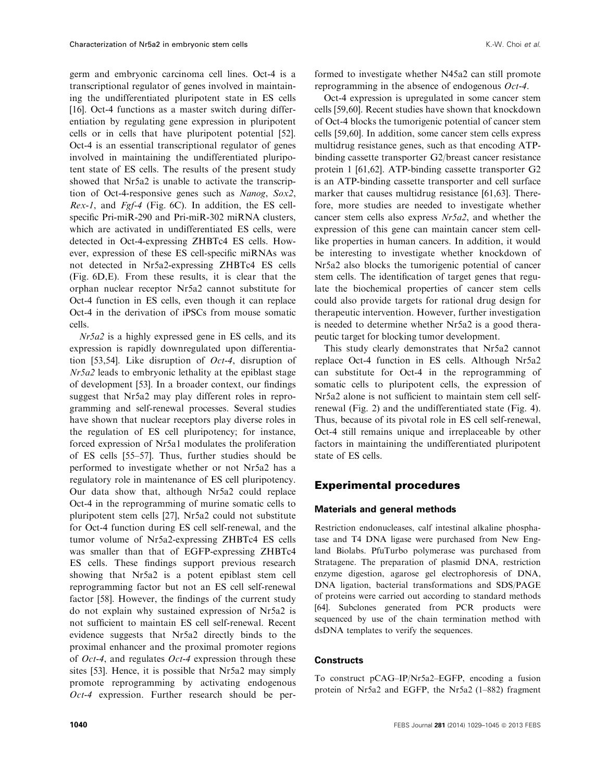germ and embryonic carcinoma cell lines. Oct-4 is a transcriptional regulator of genes involved in maintaining the undifferentiated pluripotent state in ES cells [16]. Oct-4 functions as a master switch during differentiation by regulating gene expression in pluripotent cells or in cells that have pluripotent potential [52]. Oct-4 is an essential transcriptional regulator of genes involved in maintaining the undifferentiated pluripotent state of ES cells. The results of the present study showed that Nr5a2 is unable to activate the transcription of Oct-4-responsive genes such as Nanog, Sox2, Rex-1, and Fgf-4 (Fig. 6C). In addition, the ES cellspecific Pri-miR-290 and Pri-miR-302 miRNA clusters, which are activated in undifferentiated ES cells, were detected in Oct-4-expressing ZHBTc4 ES cells. However, expression of these ES cell-specific miRNAs was not detected in Nr5a2-expressing ZHBTc4 ES cells (Fig. 6D,E). From these results, it is clear that the orphan nuclear receptor Nr5a2 cannot substitute for Oct-4 function in ES cells, even though it can replace Oct-4 in the derivation of iPSCs from mouse somatic cells.

Nr5a2 is a highly expressed gene in ES cells, and its expression is rapidly downregulated upon differentiation [53,54]. Like disruption of  $Oct-4$ , disruption of Nr5a2 leads to embryonic lethality at the epiblast stage of development [53]. In a broader context, our findings suggest that Nr5a2 may play different roles in reprogramming and self-renewal processes. Several studies have shown that nuclear receptors play diverse roles in the regulation of ES cell pluripotency; for instance, forced expression of Nr5a1 modulates the proliferation of ES cells [55–57]. Thus, further studies should be performed to investigate whether or not Nr5a2 has a regulatory role in maintenance of ES cell pluripotency. Our data show that, although Nr5a2 could replace Oct-4 in the reprogramming of murine somatic cells to pluripotent stem cells [27], Nr5a2 could not substitute for Oct-4 function during ES cell self-renewal, and the tumor volume of Nr5a2-expressing ZHBTc4 ES cells was smaller than that of EGFP-expressing ZHBTc4 ES cells. These findings support previous research showing that Nr5a2 is a potent epiblast stem cell reprogramming factor but not an ES cell self-renewal factor [58]. However, the findings of the current study do not explain why sustained expression of Nr5a2 is not sufficient to maintain ES cell self-renewal. Recent evidence suggests that Nr5a2 directly binds to the proximal enhancer and the proximal promoter regions of *Oct-4*, and regulates *Oct-4* expression through these sites [53]. Hence, it is possible that Nr5a2 may simply promote reprogramming by activating endogenous Oct-4 expression. Further research should be performed to investigate whether N45a2 can still promote reprogramming in the absence of endogenous Oct-4.

Oct-4 expression is upregulated in some cancer stem cells [59,60]. Recent studies have shown that knockdown of Oct-4 blocks the tumorigenic potential of cancer stem cells [59,60]. In addition, some cancer stem cells express multidrug resistance genes, such as that encoding ATPbinding cassette transporter G2/breast cancer resistance protein 1 [61,62]. ATP-binding cassette transporter G2 is an ATP-binding cassette transporter and cell surface marker that causes multidrug resistance [61,63]. Therefore, more studies are needed to investigate whether cancer stem cells also express Nr5a2, and whether the expression of this gene can maintain cancer stem celllike properties in human cancers. In addition, it would be interesting to investigate whether knockdown of Nr5a2 also blocks the tumorigenic potential of cancer stem cells. The identification of target genes that regulate the biochemical properties of cancer stem cells could also provide targets for rational drug design for therapeutic intervention. However, further investigation is needed to determine whether Nr5a2 is a good therapeutic target for blocking tumor development.

This study clearly demonstrates that Nr5a2 cannot replace Oct-4 function in ES cells. Although Nr5a2 can substitute for Oct-4 in the reprogramming of somatic cells to pluripotent cells, the expression of Nr5a2 alone is not sufficient to maintain stem cell selfrenewal (Fig. 2) and the undifferentiated state (Fig. 4). Thus, because of its pivotal role in ES cell self-renewal, Oct-4 still remains unique and irreplaceable by other factors in maintaining the undifferentiated pluripotent state of ES cells.

### Experimental procedures

#### Materials and general methods

Restriction endonucleases, calf intestinal alkaline phosphatase and T4 DNA ligase were purchased from New England Biolabs. PfuTurbo polymerase was purchased from Stratagene. The preparation of plasmid DNA, restriction enzyme digestion, agarose gel electrophoresis of DNA, DNA ligation, bacterial transformations and SDS/PAGE of proteins were carried out according to standard methods [64]. Subclones generated from PCR products were sequenced by use of the chain termination method with dsDNA templates to verify the sequences.

#### **Constructs**

To construct pCAG–IP/Nr5a2–EGFP, encoding a fusion protein of Nr5a2 and EGFP, the Nr5a2 (1–882) fragment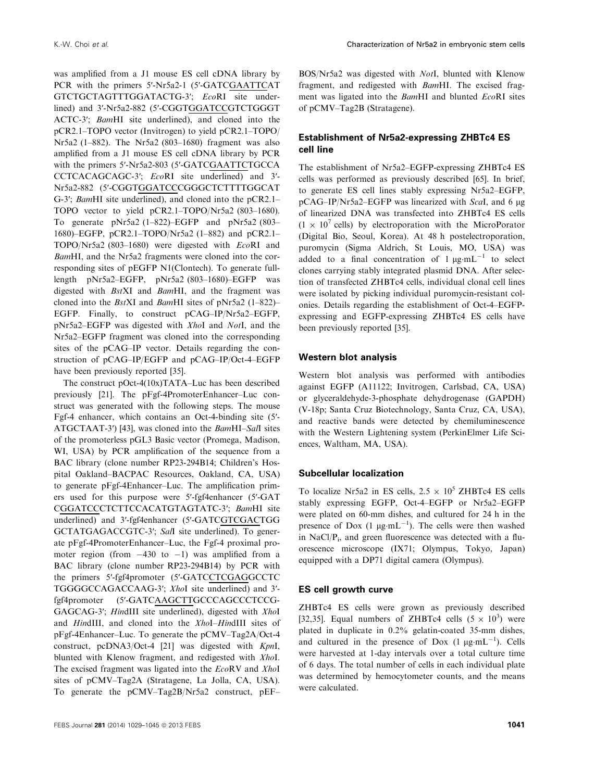was amplified from a J1 mouse ES cell cDNA library by PCR with the primers 5′-Nr5a2-1 (5′-GATCGAATTCAT GTCTGCTAGTTTGGATACTG-3′; EcoRI site underlined) and 3′-Nr5a2-882 (5′-CGGTGGATCCGTCTGGGT ACTC-3′; BamHI site underlined), and cloned into the pCR2.1–TOPO vector (Invitrogen) to yield pCR2.1–TOPO/ Nr5a2 (1–882). The Nr5a2 (803–1680) fragment was also amplified from a J1 mouse ES cell cDNA library by PCR with the primers 5′-Nr5a2-803 (5′-GATCGAATTCTGCCA CCTCACAGCAGC-3′; EcoRI site underlined) and 3′- Nr5a2-882 (5′-CGGTGGATCCCGGGCTCTTTTGGCAT G-3′; BamHI site underlined), and cloned into the pCR2.1– TOPO vector to yield pCR2.1–TOPO/Nr5a2 (803–1680). To generate pNr5a2 (1–822)–EGFP and pNr5a2 (803– 1680)–EGFP, pCR2.1–TOPO/Nr5a2 (1–882) and pCR2.1– TOPO/Nr5a2 (803–1680) were digested with EcoRI and BamHI, and the Nr5a2 fragments were cloned into the corresponding sites of pEGFP N1(Clontech). To generate fulllength pNr5a2–EGFP, pNr5a2 (803–1680)–EGFP was digested with BstXI and BamHI, and the fragment was cloned into the BstXI and BamHI sites of pNr5a2 (1–822)– EGFP. Finally, to construct pCAG–IP/Nr5a2–EGFP, pNr5a2–EGFP was digested with XhoI and NotI, and the Nr5a2–EGFP fragment was cloned into the corresponding sites of the pCAG–IP vector. Details regarding the construction of pCAG–IP/EGFP and pCAG–IP/Oct-4–EGFP have been previously reported [35].

The construct pOct-4(10x)TATA–Luc has been described previously [21]. The pFgf-4PromoterEnhancer–Luc construct was generated with the following steps. The mouse Fgf-4 enhancer, which contains an Oct-4-binding site (5′- ATGCTAAT-3′) [43], was cloned into the BamHI–SalI sites of the promoterless pGL3 Basic vector (Promega, Madison, WI, USA) by PCR amplification of the sequence from a BAC library (clone number RP23-294B14; Children's Hospital Oakland–BACPAC Resources, Oakland, CA, USA) to generate pFgf-4Enhancer–Luc. The amplification primers used for this purpose were 5′-fgf4enhancer (5′-GAT CGGATCCCTCTTCCACATGTAGTATC-3′; BamHI site underlined) and 3′-fgf4enhancer (5′-GATCGTCGACTGG GCTATGAGACCGTC-3′; SalI site underlined). To generate pFgf-4PromoterEnhancer–Luc, the Fgf-4 proximal promoter region (from  $-430$  to  $-1$ ) was amplified from a BAC library (clone number RP23-294B14) by PCR with the primers 5′-fgf4promoter (5′-GATCCTCGAGGCCTC TGGGGCCAGACCAAG-3′; XhoI site underlined) and 3′ fgf4promoter (5′-GATCAAGCTTGCCCAGCCCTCCG-GAGCAG-3'; HindIII site underlined), digested with XhoI and HindIII, and cloned into the XhoI–HindIII sites of pFgf-4Enhancer–Luc. To generate the pCMV–Tag2A/Oct-4 construct, pcDNA3/Oct-4 [21] was digested with KpnI, blunted with Klenow fragment, and redigested with XhoI. The excised fragment was ligated into the EcoRV and XhoI sites of pCMV–Tag2A (Stratagene, La Jolla, CA, USA). To generate the pCMV–Tag2B/Nr5a2 construct, pEF–

BOS/Nr5a2 was digested with NotI, blunted with Klenow fragment, and redigested with BamHI. The excised fragment was ligated into the BamHI and blunted EcoRI sites of pCMV–Tag2B (Stratagene).

### Establishment of Nr5a2-expressing ZHBTc4 ES cell line

The establishment of Nr5a2–EGFP-expressing ZHBTc4 ES cells was performed as previously described [65]. In brief, to generate ES cell lines stably expressing Nr5a2–EGFP,  $pCAG$ –IP/Nr5a2–EGFP was linearized with ScaI, and 6 µg of linearized DNA was transfected into ZHBTc4 ES cells  $(1 \times 10^7 \text{ cells})$  by electroporation with the MicroPorator (Digital Bio, Seoul, Korea). At 48 h postelectroporation, puromycin (Sigma Aldrich, St Louis, MO, USA) was added to a final concentration of  $1 \mu g \cdot mL^{-1}$  to select clones carrying stably integrated plasmid DNA. After selection of transfected ZHBTc4 cells, individual clonal cell lines were isolated by picking individual puromycin-resistant colonies. Details regarding the establishment of Oct-4–EGFPexpressing and EGFP-expressing ZHBTc4 ES cells have been previously reported [35].

#### Western blot analysis

Western blot analysis was performed with antibodies against EGFP (A11122; Invitrogen, Carlsbad, CA, USA) or glyceraldehyde-3-phosphate dehydrogenase (GAPDH) (V-18p; Santa Cruz Biotechnology, Santa Cruz, CA, USA), and reactive bands were detected by chemiluminescence with the Western Lightening system (PerkinElmer Life Sciences, Waltham, MA, USA).

#### Subcellular localization

To localize Nr5a2 in ES cells,  $2.5 \times 10^5$  ZHBTc4 ES cells stably expressing EGFP, Oct-4–EGFP or Nr5a2–EGFP were plated on 60-mm dishes, and cultured for 24 h in the presence of Dox  $(1 \mu g \cdot mL^{-1})$ . The cells were then washed in NaCl/P<sub>i</sub>, and green fluorescence was detected with a fluorescence microscope (IX71; Olympus, Tokyo, Japan) equipped with a DP71 digital camera (Olympus).

#### ES cell growth curve

ZHBTc4 ES cells were grown as previously described [32,35]. Equal numbers of ZHBTc4 cells  $(5 \times 10^3)$  were plated in duplicate in 0.2% gelatin-coated 35-mm dishes, and cultured in the presence of Dox  $(1 \mu g \cdot mL^{-1})$ . Cells were harvested at 1-day intervals over a total culture time of 6 days. The total number of cells in each individual plate was determined by hemocytometer counts, and the means were calculated.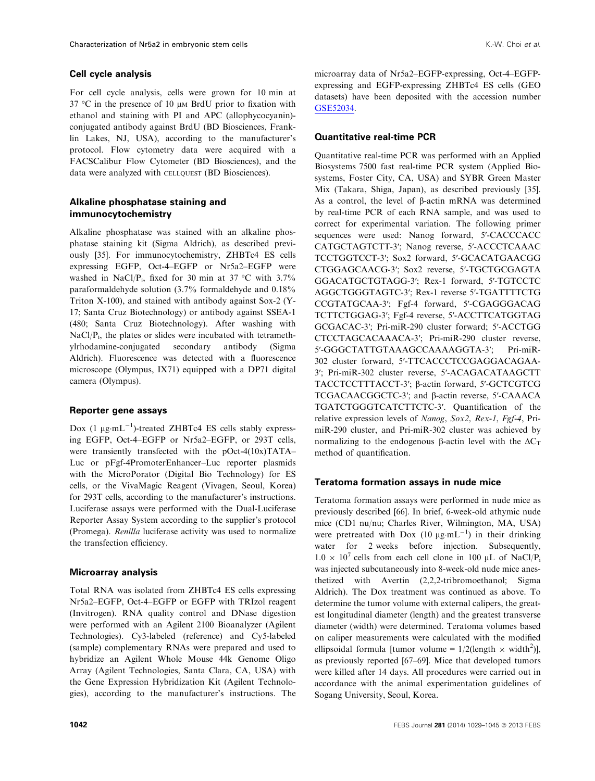#### Cell cycle analysis

For cell cycle analysis, cells were grown for 10 min at 37  $\degree$ C in the presence of 10  $\mu$ M BrdU prior to fixation with ethanol and staining with PI and APC (allophycocyanin) conjugated antibody against BrdU (BD Biosciences, Franklin Lakes, NJ, USA), according to the manufacturer's protocol. Flow cytometry data were acquired with a FACSCalibur Flow Cytometer (BD Biosciences), and the data were analyzed with CELLQUEST (BD Biosciences).

#### Alkaline phosphatase staining and immunocytochemistry

Alkaline phosphatase was stained with an alkaline phosphatase staining kit (Sigma Aldrich), as described previously [35]. For immunocytochemistry, ZHBTc4 ES cells expressing EGFP, Oct-4–EGFP or Nr5a2–EGFP were washed in NaCl/P<sub>i</sub>, fixed for 30 min at 37 °C with 3.7% paraformaldehyde solution (3.7% formaldehyde and 0.18% Triton X-100), and stained with antibody against Sox-2 (Y-17; Santa Cruz Biotechnology) or antibody against SSEA-1 (480; Santa Cruz Biotechnology). After washing with  $NaCl/P<sub>i</sub>$ , the plates or slides were incubated with tetramethylrhodamine-conjugated secondary antibody (Sigma Aldrich). Fluorescence was detected with a fluorescence microscope (Olympus, IX71) equipped with a DP71 digital camera (Olympus).

#### Reporter gene assays

Dox (1  $\mu$ g·mL<sup>-1</sup>)-treated ZHBTc4 ES cells stably expressing EGFP, Oct-4–EGFP or Nr5a2–EGFP, or 293T cells, were transiently transfected with the pOct-4(10x)TATA– Luc or pFgf-4PromoterEnhancer–Luc reporter plasmids with the MicroPorator (Digital Bio Technology) for ES cells, or the VivaMagic Reagent (Vivagen, Seoul, Korea) for 293T cells, according to the manufacturer's instructions. Luciferase assays were performed with the Dual-Luciferase Reporter Assay System according to the supplier's protocol (Promega). Renilla luciferase activity was used to normalize the transfection efficiency.

#### Microarray analysis

Total RNA was isolated from ZHBTc4 ES cells expressing Nr5a2–EGFP, Oct-4–EGFP or EGFP with TRIzol reagent (Invitrogen). RNA quality control and DNase digestion were performed with an Agilent 2100 Bioanalyzer (Agilent Technologies). Cy3-labeled (reference) and Cy5-labeled (sample) complementary RNAs were prepared and used to hybridize an Agilent Whole Mouse 44k Genome Oligo Array (Agilent Technologies, Santa Clara, CA, USA) with the Gene Expression Hybridization Kit (Agilent Technologies), according to the manufacturer's instructions. The microarray data of Nr5a2–EGFP-expressing, Oct-4–EGFPexpressing and EGFP-expressing ZHBTc4 ES cells (GEO datasets) have been deposited with the accession number [GSE52034.](http://www.ncbi.nlm.nih.gov/protein/GSE52034)

#### Quantitative real-time PCR

Quantitative real-time PCR was performed with an Applied Biosystems 7500 fast real-time PCR system (Applied Biosystems, Foster City, CA, USA) and SYBR Green Master Mix (Takara, Shiga, Japan), as described previously [35]. As a control, the level of  $\beta$ -actin mRNA was determined by real-time PCR of each RNA sample, and was used to correct for experimental variation. The following primer sequences were used: Nanog forward, 5′-CACCCACC CATGCTAGTCTT-3′; Nanog reverse, 5′-ACCCTCAAAC TCCTGGTCCT-3′; Sox2 forward, 5′-GCACATGAACGG CTGGAGCAACG-3′; Sox2 reverse, 5′-TGCTGCGAGTA GGACATGCTGTAGG-3′; Rex-1 forward, 5′-TGTCCTC AGGCTGGGTAGTC-3′; Rex-1 reverse 5′-TGATTTTCTG CCGTATGCAA-3′; Fgf-4 forward, 5′-CGAGGGACAG TCTTCTGGAG-3′; Fgf-4 reverse, 5′-ACCTTCATGGTAG GCGACAC-3′; Pri-miR-290 cluster forward; 5′-ACCTGG CTCCTAGCACAAACA-3′; Pri-miR-290 cluster reverse, 5′-GGGCTATTGTAAAGCCAAAAGGTA-3′; Pri-miR-302 cluster forward, 5′-TTCACCCTCCGAGGACAGAA-3′; Pri-miR-302 cluster reverse, 5′-ACAGACATAAGCTT TACCTCCTTTACCT-3′; b-actin forward, 5′-GCTCGTCG TCGACAACGGCTC-3′; and b-actin reverse, 5′-CAAACA TGATCTGGGTCATCTTCTC-3′. Quantification of the relative expression levels of Nanog, Sox2, Rex-1, Fgf-4, PrimiR-290 cluster, and Pri-miR-302 cluster was achieved by normalizing to the endogenous β-actin level with the  $ΔC<sub>T</sub>$ method of quantification.

#### Teratoma formation assays in nude mice

Teratoma formation assays were performed in nude mice as previously described [66]. In brief, 6-week-old athymic nude mice (CD1 nu/nu; Charles River, Wilmington, MA, USA) were pretreated with  $Dox (10 \mu g·mL^{-1})$  in their drinking water for 2 weeks before injection. Subsequently,  $1.0 \times 10^7$  cells from each cell clone in 100 µL of NaCl/P<sub>i</sub> was injected subcutaneously into 8-week-old nude mice anesthetized with Avertin (2,2,2-tribromoethanol; Sigma Aldrich). The Dox treatment was continued as above. To determine the tumor volume with external calipers, the greatest longitudinal diameter (length) and the greatest transverse diameter (width) were determined. Teratoma volumes based on caliper measurements were calculated with the modified ellipsoidal formula [tumor volume =  $1/2$ (length  $\times$  width<sup>2</sup>)], as previously reported [67–69]. Mice that developed tumors were killed after 14 days. All procedures were carried out in accordance with the animal experimentation guidelines of Sogang University, Seoul, Korea.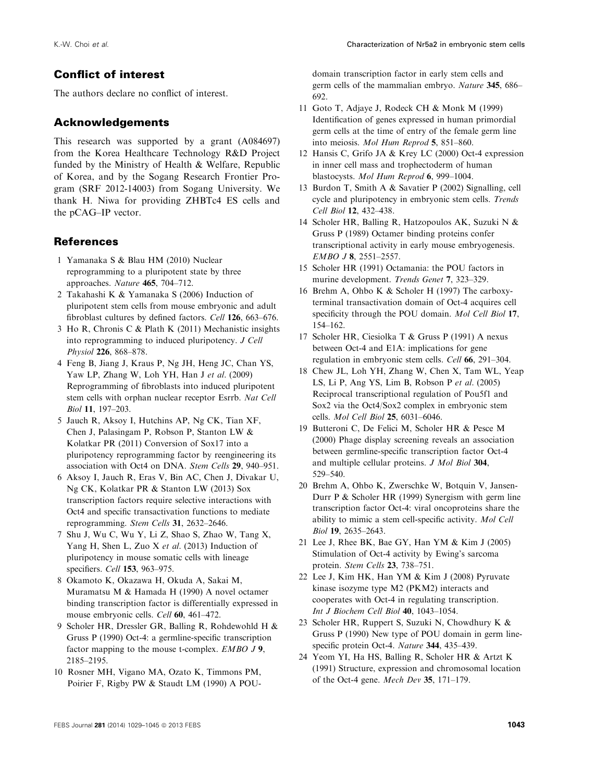# Conflict of interest

The authors declare no conflict of interest.

# Acknowledgements

This research was supported by a grant (A084697) from the Korea Healthcare Technology R&D Project funded by the Ministry of Health & Welfare, Republic of Korea, and by the Sogang Research Frontier Program (SRF 2012-14003) from Sogang University. We thank H. Niwa for providing ZHBTc4 ES cells and the pCAG–IP vector.

# **References**

- 1 Yamanaka S & Blau HM (2010) Nuclear reprogramming to a pluripotent state by three approaches. Nature 465, 704–712.
- 2 Takahashi K & Yamanaka S (2006) Induction of pluripotent stem cells from mouse embryonic and adult fibroblast cultures by defined factors. Cell 126, 663–676.
- 3 Ho R, Chronis C & Plath K (2011) Mechanistic insights into reprogramming to induced pluripotency. J Cell Physiol 226, 868–878.
- 4 Feng B, Jiang J, Kraus P, Ng JH, Heng JC, Chan YS, Yaw LP, Zhang W, Loh YH, Han J et al. (2009) Reprogramming of fibroblasts into induced pluripotent stem cells with orphan nuclear receptor Esrrb. Nat Cell Biol 11, 197–203.
- 5 Jauch R, Aksoy I, Hutchins AP, Ng CK, Tian XF, Chen J, Palasingam P, Robson P, Stanton LW & Kolatkar PR (2011) Conversion of Sox17 into a pluripotency reprogramming factor by reengineering its association with Oct4 on DNA. Stem Cells 29, 940–951.
- 6 Aksoy I, Jauch R, Eras V, Bin AC, Chen J, Divakar U, Ng CK, Kolatkar PR & Stanton LW (2013) Sox transcription factors require selective interactions with Oct4 and specific transactivation functions to mediate reprogramming. Stem Cells 31, 2632–2646.
- 7 Shu J, Wu C, Wu Y, Li Z, Shao S, Zhao W, Tang X, Yang H, Shen L, Zuo X et al. (2013) Induction of pluripotency in mouse somatic cells with lineage specifiers. Cell 153, 963-975.
- 8 Okamoto K, Okazawa H, Okuda A, Sakai M, Muramatsu M & Hamada H (1990) A novel octamer binding transcription factor is differentially expressed in mouse embryonic cells. Cell 60, 461–472.
- 9 Scholer HR, Dressler GR, Balling R, Rohdewohld H & Gruss P (1990) Oct-4: a germline-specific transcription factor mapping to the mouse t-complex. EMBO J 9, 2185–2195.
- 10 Rosner MH, Vigano MA, Ozato K, Timmons PM, Poirier F, Rigby PW & Staudt LM (1990) A POU-

domain transcription factor in early stem cells and germ cells of the mammalian embryo. Nature 345, 686– 692.

- 11 Goto T, Adjaye J, Rodeck CH & Monk M (1999) Identification of genes expressed in human primordial germ cells at the time of entry of the female germ line into meiosis. Mol Hum Reprod 5, 851–860.
- 12 Hansis C, Grifo JA & Krey LC (2000) Oct-4 expression in inner cell mass and trophectoderm of human blastocysts. Mol Hum Reprod 6, 999–1004.
- 13 Burdon T, Smith A & Savatier P (2002) Signalling, cell cycle and pluripotency in embryonic stem cells. Trends Cell Biol 12, 432–438.
- 14 Scholer HR, Balling R, Hatzopoulos AK, Suzuki N & Gruss P (1989) Octamer binding proteins confer transcriptional activity in early mouse embryogenesis. EMBO J 8, 2551–2557.
- 15 Scholer HR (1991) Octamania: the POU factors in murine development. Trends Genet 7, 323–329.
- 16 Brehm A, Ohbo K & Scholer H (1997) The carboxyterminal transactivation domain of Oct-4 acquires cell specificity through the POU domain. Mol Cell Biol 17, 154–162.
- 17 Scholer HR, Ciesiolka T & Gruss P (1991) A nexus between Oct-4 and E1A: implications for gene regulation in embryonic stem cells. Cell 66, 291–304.
- 18 Chew JL, Loh YH, Zhang W, Chen X, Tam WL, Yeap LS, Li P, Ang YS, Lim B, Robson P et al. (2005) Reciprocal transcriptional regulation of Pou5f1 and Sox2 via the Oct4/Sox2 complex in embryonic stem cells. Mol Cell Biol 25, 6031–6046.
- 19 Butteroni C, De Felici M, Scholer HR & Pesce M (2000) Phage display screening reveals an association between germline-specific transcription factor Oct-4 and multiple cellular proteins. J Mol Biol 304, 529–540.
- 20 Brehm A, Ohbo K, Zwerschke W, Botquin V, Jansen-Durr P & Scholer HR (1999) Synergism with germ line transcription factor Oct-4: viral oncoproteins share the ability to mimic a stem cell-specific activity. Mol Cell Biol 19, 2635–2643.
- 21 Lee J, Rhee BK, Bae GY, Han YM & Kim J (2005) Stimulation of Oct-4 activity by Ewing's sarcoma protein. Stem Cells 23, 738-751.
- 22 Lee J, Kim HK, Han YM & Kim J (2008) Pyruvate kinase isozyme type M2 (PKM2) interacts and cooperates with Oct-4 in regulating transcription. Int J Biochem Cell Biol 40, 1043–1054.
- 23 Scholer HR, Ruppert S, Suzuki N, Chowdhury K & Gruss P (1990) New type of POU domain in germ linespecific protein Oct-4. Nature 344, 435-439.
- 24 Yeom YI, Ha HS, Balling R, Scholer HR & Artzt K (1991) Structure, expression and chromosomal location of the Oct-4 gene. Mech Dev 35, 171–179.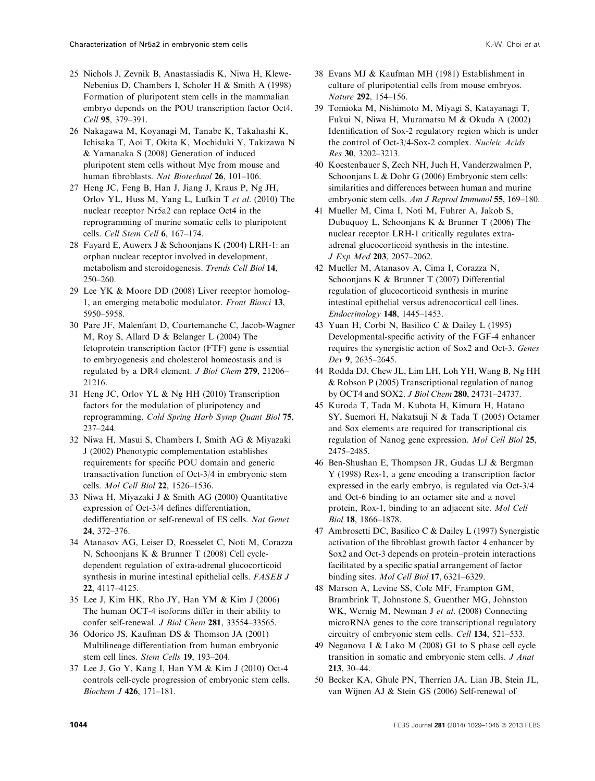- 25 Nichols J, Zevnik B, Anastassiadis K, Niwa H, Klewe-Nebenius D, Chambers I, Scholer H & Smith A (1998) Formation of pluripotent stem cells in the mammalian embryo depends on the POU transcription factor Oct4. Cell 95, 379–391.
- 26 Nakagawa M, Koyanagi M, Tanabe K, Takahashi K, Ichisaka T, Aoi T, Okita K, Mochiduki Y, Takizawa N & Yamanaka S (2008) Generation of induced pluripotent stem cells without Myc from mouse and human fibroblasts. Nat Biotechnol 26, 101–106.
- 27 Heng JC, Feng B, Han J, Jiang J, Kraus P, Ng JH, Orlov YL, Huss M, Yang L, Lufkin T et al. (2010) The nuclear receptor Nr5a2 can replace Oct4 in the reprogramming of murine somatic cells to pluripotent cells. Cell Stem Cell 6, 167–174.
- 28 Fayard E, Auwerx J & Schoonjans K (2004) LRH-1: an orphan nuclear receptor involved in development, metabolism and steroidogenesis. Trends Cell Biol 14, 250–260.
- 29 Lee YK & Moore DD (2008) Liver receptor homolog-1, an emerging metabolic modulator. Front Biosci 13, 5950–5958.
- 30 Pare JF, Malenfant D, Courtemanche C, Jacob-Wagner M, Roy S, Allard D & Belanger L (2004) The fetoprotein transcription factor (FTF) gene is essential to embryogenesis and cholesterol homeostasis and is regulated by a DR4 element. J Biol Chem 279, 21206– 21216.
- 31 Heng JC, Orlov YL & Ng HH (2010) Transcription factors for the modulation of pluripotency and reprogramming. Cold Spring Harb Symp Quant Biol 75, 237–244.
- 32 Niwa H, Masui S, Chambers I, Smith AG & Miyazaki J (2002) Phenotypic complementation establishes requirements for specific POU domain and generic transactivation function of Oct-3/4 in embryonic stem cells. Mol Cell Biol 22, 1526–1536.
- 33 Niwa H, Miyazaki J & Smith AG (2000) Quantitative expression of Oct-3/4 defines differentiation, dedifferentiation or self-renewal of ES cells. Nat Genet 24, 372–376.
- 34 Atanasov AG, Leiser D, Roesselet C, Noti M, Corazza N, Schoonjans K & Brunner T (2008) Cell cycledependent regulation of extra-adrenal glucocorticoid synthesis in murine intestinal epithelial cells. FASEB J 22, 4117–4125.
- 35 Lee J, Kim HK, Rho JY, Han YM & Kim J (2006) The human OCT-4 isoforms differ in their ability to confer self-renewal. J Biol Chem 281, 33554–33565.
- 36 Odorico JS, Kaufman DS & Thomson JA (2001) Multilineage differentiation from human embryonic stem cell lines. Stem Cells 19, 193–204.
- 37 Lee J, Go Y, Kang I, Han YM & Kim J (2010) Oct-4 controls cell-cycle progression of embryonic stem cells. Biochem J 426, 171–181.
- 38 Evans MJ & Kaufman MH (1981) Establishment in culture of pluripotential cells from mouse embryos. Nature 292, 154–156.
- 39 Tomioka M, Nishimoto M, Miyagi S, Katayanagi T, Fukui N, Niwa H, Muramatsu M & Okuda A (2002) Identification of Sox-2 regulatory region which is under the control of Oct-3/4-Sox-2 complex. Nucleic Acids Res 30, 3202–3213.
- 40 Koestenbauer S, Zech NH, Juch H, Vanderzwalmen P, Schoonjans L & Dohr G (2006) Embryonic stem cells: similarities and differences between human and murine embryonic stem cells. Am J Reprod Immunol 55, 169-180.
- 41 Mueller M, Cima I, Noti M, Fuhrer A, Jakob S, Dubuquoy L, Schoonjans K & Brunner T (2006) The nuclear receptor LRH-1 critically regulates extraadrenal glucocorticoid synthesis in the intestine. J Exp Med 203, 2057–2062.
- 42 Mueller M, Atanasov A, Cima I, Corazza N, Schoonjans K & Brunner T (2007) Differential regulation of glucocorticoid synthesis in murine intestinal epithelial versus adrenocortical cell lines. Endocrinology 148, 1445–1453.
- 43 Yuan H, Corbi N, Basilico C & Dailey L (1995) Developmental-specific activity of the FGF-4 enhancer requires the synergistic action of Sox2 and Oct-3. Genes Dev 9, 2635–2645.
- 44 Rodda DJ, Chew JL, Lim LH, Loh YH, Wang B, Ng HH & Robson P (2005) Transcriptional regulation of nanog by OCT4 and SOX2. J Biol Chem 280, 24731–24737.
- 45 Kuroda T, Tada M, Kubota H, Kimura H, Hatano SY, Suemori H, Nakatsuji N & Tada T (2005) Octamer and Sox elements are required for transcriptional cis regulation of Nanog gene expression. Mol Cell Biol 25, 2475–2485.
- 46 Ben-Shushan E, Thompson JR, Gudas LJ & Bergman Y (1998) Rex-1, a gene encoding a transcription factor expressed in the early embryo, is regulated via Oct-3/4 and Oct-6 binding to an octamer site and a novel protein, Rox-1, binding to an adjacent site. Mol Cell Biol 18, 1866–1878.
- 47 Ambrosetti DC, Basilico C & Dailey L (1997) Synergistic activation of the fibroblast growth factor 4 enhancer by Sox2 and Oct-3 depends on protein–protein interactions facilitated by a specific spatial arrangement of factor binding sites. Mol Cell Biol 17, 6321–6329.
- 48 Marson A, Levine SS, Cole MF, Frampton GM, Brambrink T, Johnstone S, Guenther MG, Johnston WK, Wernig M, Newman J et al. (2008) Connecting microRNA genes to the core transcriptional regulatory circuitry of embryonic stem cells. Cell 134, 521–533.
- 49 Neganova I & Lako M (2008) G1 to S phase cell cycle transition in somatic and embryonic stem cells. J Anat 213, 30–44.
- 50 Becker KA, Ghule PN, Therrien JA, Lian JB, Stein JL, van Wijnen AJ & Stein GS (2006) Self-renewal of